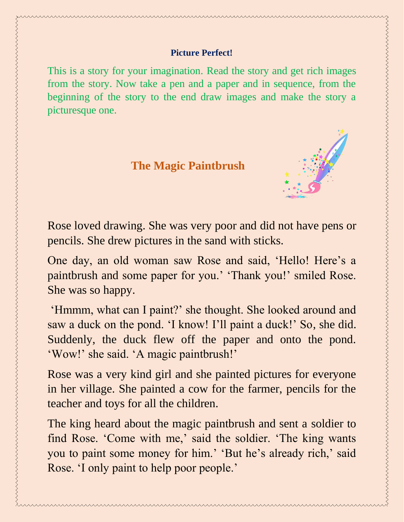This is a story for your imagination. Read the story and get rich images from the story. Now take a pen and a paper and in sequence, from the beginning of the story to the end draw images and make the story a picturesque one.

 **The Magic Paintbrush**



Rose loved drawing. She was very poor and did not have pens or pencils. She drew pictures in the sand with sticks.

One day, an old woman saw Rose and said, 'Hello! Here's a paintbrush and some paper for you.' 'Thank you!' smiled Rose. She was so happy.

'Hmmm, what can I paint?' she thought. She looked around and saw a duck on the pond. 'I know! I'll paint a duck!' So, she did. Suddenly, the duck flew off the paper and onto the pond. 'Wow!' she said. 'A magic paintbrush!'

Rose was a very kind girl and she painted pictures for everyone in her village. She painted a cow for the farmer, pencils for the teacher and toys for all the children.

The king heard about the magic paintbrush and sent a soldier to find Rose. 'Come with me,' said the soldier. 'The king wants you to paint some money for him.' 'But he's already rich,' said Rose. 'I only paint to help poor people.'